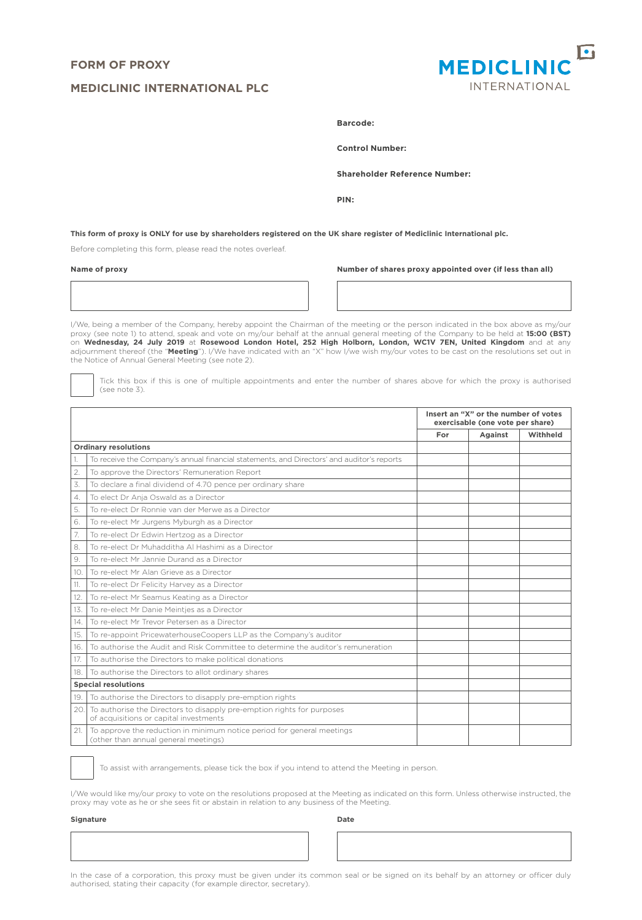# **FORM OF PROXY**

## **MEDICLINIC INTERNATIONAL PLC**



**Barcode:** 

**Control Number:** 

**Shareholder Reference Number:**

**PIN:**

**This form of proxy is ONLY for use by shareholders registered on the UK share register of Mediclinic International plc.**

Before completing this form, please read the notes overleaf.

**Name of proxy Number of shares proxy appointed over (if less than all)**

I/We, being a member of the Company, hereby appoint the Chairman of the meeting or the person indicated in the box above as my/our proxy (see note 1) to attend, speak and vote on my/our behalf at the annual general meeting of the Company to be held at **15:00 (BST)**<br>on **Wednesday, 24 July 2019** at **Rosewood London Hotel, 252 High Holborn, London, WC1V** the Notice of Annual General Meeting (see note 2).

Tick this box if this is one of multiple appointments and enter the number of shares above for which the proxy is authorised (see note 3).

|                  |                                                                                                                  | Insert an "X" or the number of votes<br>exercisable (one vote per share) |         |          |
|------------------|------------------------------------------------------------------------------------------------------------------|--------------------------------------------------------------------------|---------|----------|
|                  |                                                                                                                  | For                                                                      | Against | Withheld |
|                  | <b>Ordinary resolutions</b>                                                                                      |                                                                          |         |          |
|                  | To receive the Company's annual financial statements, and Directors' and auditor's reports                       |                                                                          |         |          |
| $\overline{2}$ . | To approve the Directors' Remuneration Report                                                                    |                                                                          |         |          |
| 3.               | To declare a final dividend of 4.70 pence per ordinary share                                                     |                                                                          |         |          |
| 4.               | To elect Dr Anja Oswald as a Director                                                                            |                                                                          |         |          |
| 5.               | To re-elect Dr Ronnie van der Merwe as a Director                                                                |                                                                          |         |          |
| 6.               | To re-elect Mr Jurgens Myburgh as a Director                                                                     |                                                                          |         |          |
| 7.               | To re-elect Dr Edwin Hertzog as a Director                                                                       |                                                                          |         |          |
| 8.               | To re-elect Dr Muhadditha Al Hashimi as a Director                                                               |                                                                          |         |          |
| 9.               | To re-elect Mr Jannie Durand as a Director                                                                       |                                                                          |         |          |
| 10.              | To re-elect Mr Alan Grieve as a Director                                                                         |                                                                          |         |          |
| 11.              | To re-elect Dr Felicity Harvey as a Director                                                                     |                                                                          |         |          |
| 12.              | To re-elect Mr Seamus Keating as a Director                                                                      |                                                                          |         |          |
| 13.              | To re-elect Mr Danie Meinties as a Director                                                                      |                                                                          |         |          |
| 14.              | To re-elect Mr Trevor Petersen as a Director                                                                     |                                                                          |         |          |
| 15.              | To re-appoint PricewaterhouseCoopers LLP as the Company's auditor                                                |                                                                          |         |          |
| 16.              | To authorise the Audit and Risk Committee to determine the auditor's remuneration                                |                                                                          |         |          |
| 17.              | To authorise the Directors to make political donations                                                           |                                                                          |         |          |
| 18.              | To authorise the Directors to allot ordinary shares                                                              |                                                                          |         |          |
|                  | <b>Special resolutions</b>                                                                                       |                                                                          |         |          |
| 19.              | To authorise the Directors to disapply pre-emption rights                                                        |                                                                          |         |          |
| 20               | To authorise the Directors to disapply pre-emption rights for purposes<br>of acquisitions or capital investments |                                                                          |         |          |
| 21.              | To approve the reduction in minimum notice period for general meetings<br>(other than annual general meetings)   |                                                                          |         |          |

To assist with arrangements, please tick the box if you intend to attend the Meeting in person.

I/We would like my/our proxy to vote on the resolutions proposed at the Meeting as indicated on this form. Unless otherwise instructed, the proxy may vote as he or she sees fit or abstain in relation to any business of the Meeting.

**Signature Date**

In the case of a corporation, this proxy must be given under its common seal or be signed on its behalf by an attorney or officer duly authorised, stating their capacity (for example director, secretary).